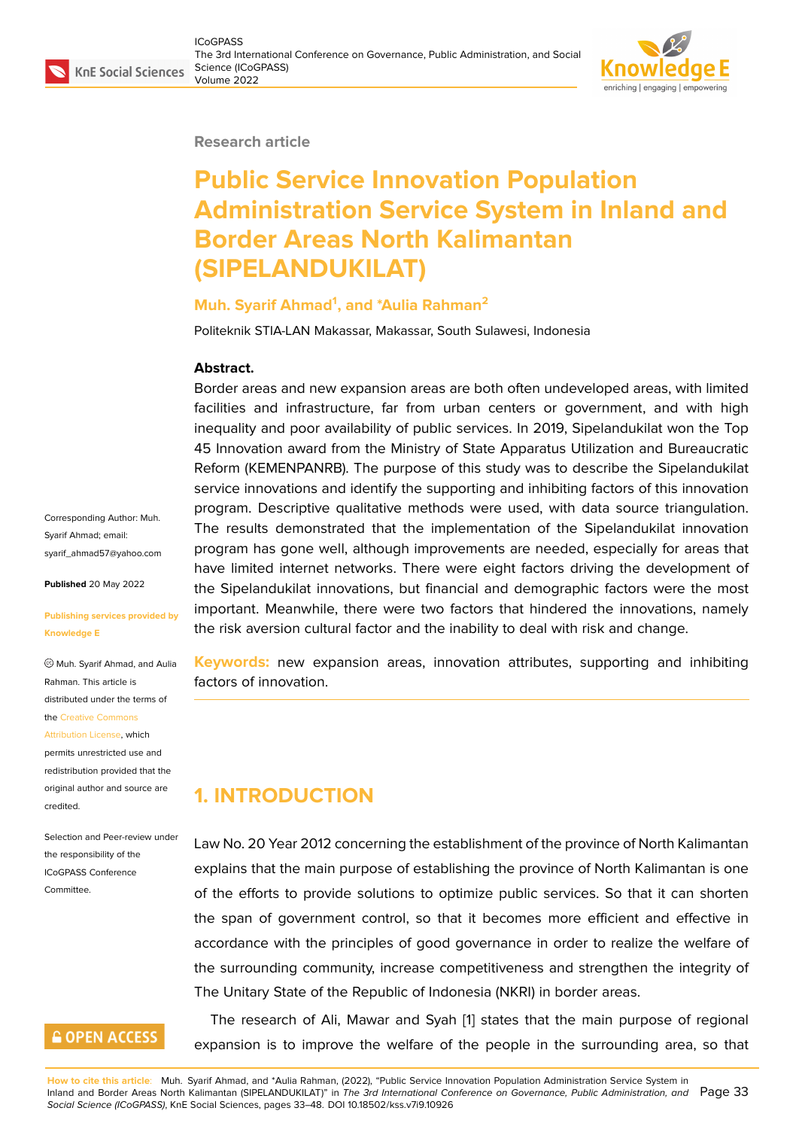#### **Research article**

# **Public Service Innovation Population Administration Service System in Inland and Border Areas North Kalimantan (SIPELANDUKILAT)**

#### **Muh. Syarif Ahmad<sup>1</sup> , and \*Aulia Rahman<sup>2</sup>**

Politeknik STIA-LAN Makassar, Makassar, South Sulawesi, Indonesia

#### **Abstract.**

Border areas and new expansion areas are both often undeveloped areas, with limited facilities and infrastructure, far from urban centers or government, and with high inequality and poor availability of public services. In 2019, Sipelandukilat won the Top 45 Innovation award from the Ministry of State Apparatus Utilization and Bureaucratic Reform (KEMENPANRB). The purpose of this study was to describe the Sipelandukilat service innovations and identify the supporting and inhibiting factors of this innovation program. Descriptive qualitative methods were used, with data source triangulation. The results demonstrated that the implementation of the Sipelandukilat innovation program has gone well, although improvements are needed, especially for areas that have limited internet networks. There were eight factors driving the development of the Sipelandukilat innovations, but financial and demographic factors were the most important. Meanwhile, there were two factors that hindered the innovations, namely the risk aversion cultural factor and the inability to deal with risk and change.

**Keywords:** new expansion areas, innovation attributes, supporting and inhibiting factors of innovation.

### **1. INTRODUCTION**

Law No. 20 Year 2012 concerning the establishment of the province of North Kalimantan explains that the main purpose of establishing the province of North Kalimantan is one of the efforts to provide solutions to optimize public services. So that it can shorten the span of government control, so that it becomes more efficient and effective in accordance with the principles of good governance in order to realize the welfare of the surrounding community, increase competitiveness and strengthen the integrity of The Unitary State of the Republic of Indonesia (NKRI) in border areas.

The research of Ali, Mawar and Syah [1] states that the main purpose of regional expansion is to improve the welfare of the people in the surrounding area, so that

Corresponding Author: Muh. Syarif Ahmad; email: syarif\_ahmad57@yahoo.com

**Published** 20 May 2022

#### **[Publishing services provided](mailto:syarif_ahmad57@yahoo.com) by Knowledge E**

Muh. Syarif Ahmad, and Aulia Rahman. This article is distributed under the terms of the Creative Commons

#### Attribution License, which

permits unrestricted use and redistribution provided that the orig[inal author and sou](https://creativecommons.org/licenses/by/4.0/)rce are [credited.](https://creativecommons.org/licenses/by/4.0/)

Selection and Peer-review under the responsibility of the ICoGPASS Conference **Committee** 

### **GOPEN ACCESS**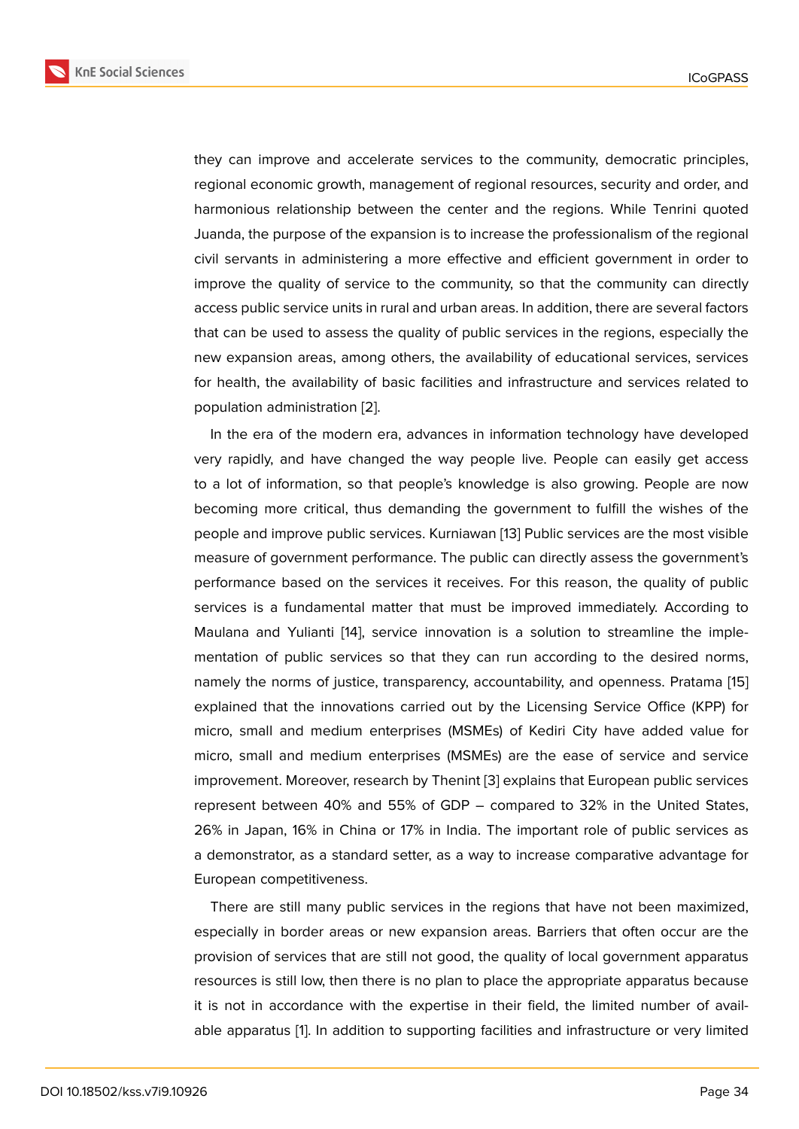they can improve and accelerate services to the community, democratic principles, regional economic growth, management of regional resources, security and order, and harmonious relationship between the center and the regions. While Tenrini quoted Juanda, the purpose of the expansion is to increase the professionalism of the regional civil servants in administering a more effective and efficient government in order to improve the quality of service to the community, so that the community can directly access public service units in rural and urban areas. In addition, there are several factors that can be used to assess the quality of public services in the regions, especially the new expansion areas, among others, the availability of educational services, services for health, the availability of basic facilities and infrastructure and services related to population administration [2].

In the era of the modern era, advances in information technology have developed very rapidly, and have changed the way people live. People can easily get access to a lot of information, so [th](#page-14-1)at people's knowledge is also growing. People are now becoming more critical, thus demanding the government to fulfill the wishes of the people and improve public services. Kurniawan [13] Public services are the most visible measure of government performance. The public can directly assess the government's performance based on the services it receives. For this reason, the quality of public services is a fundamental matter that must b[e im](#page-15-0)proved immediately. According to Maulana and Yulianti [14], service innovation is a solution to streamline the implementation of public services so that they can run according to the desired norms, namely the norms of justice, transparency, accountability, and openness. Pratama [15] explained that the inn[ova](#page-15-1)tions carried out by the Licensing Service Office (KPP) for micro, small and medium enterprises (MSMEs) of Kediri City have added value for micro, small and medium enterprises (MSMEs) are the ease of service and serv[ice](#page-15-2) improvement. Moreover, research by Thenint [3] explains that European public services represent between 40% and 55% of GDP – compared to 32% in the United States, 26% in Japan, 16% in China or 17% in India. The important role of public services as a demonstrator, as a standard setter, as a wa[y](#page-14-2) to increase comparative advantage for European competitiveness.

There are still many public services in the regions that have not been maximized, especially in border areas or new expansion areas. Barriers that often occur are the provision of services that are still not good, the quality of local government apparatus resources is still low, then there is no plan to place the appropriate apparatus because it is not in accordance with the expertise in their field, the limited number of available apparatus [1]. In addition to supporting facilities and infrastructure or very limited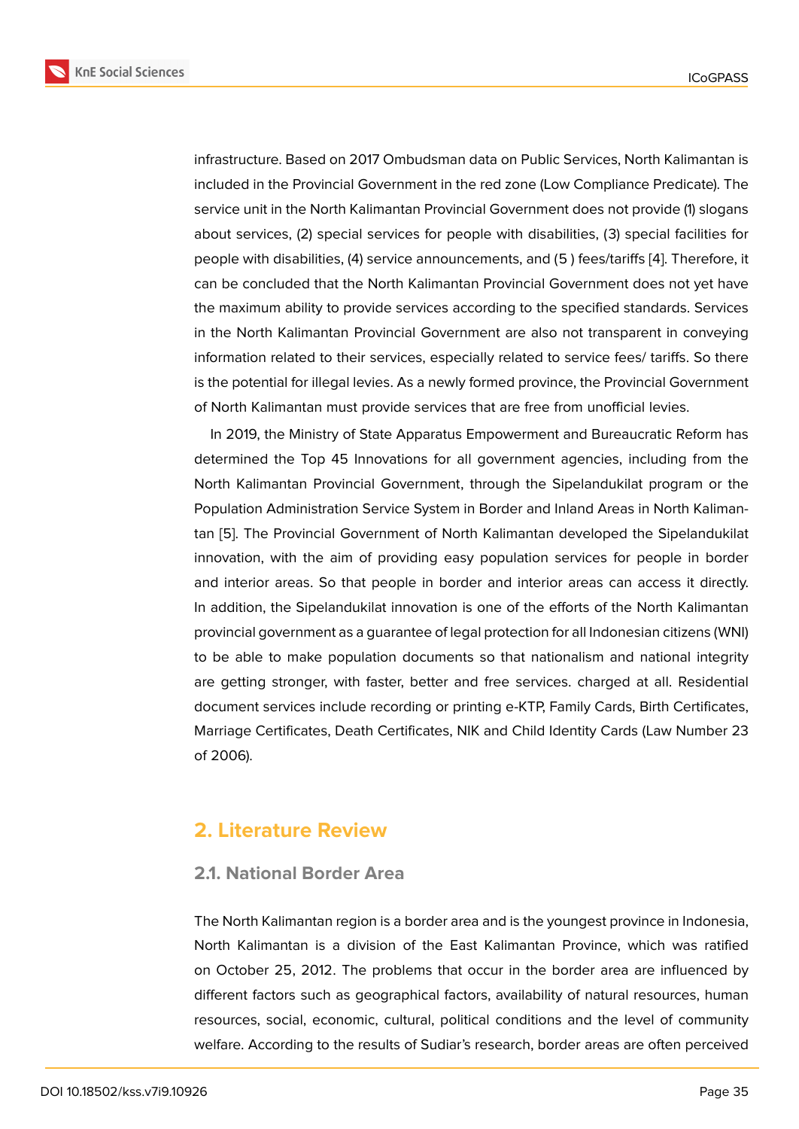infrastructure. Based on 2017 Ombudsman data on Public Services, North Kalimantan is included in the Provincial Government in the red zone (Low Compliance Predicate). The service unit in the North Kalimantan Provincial Government does not provide (1) slogans about services, (2) special services for people with disabilities, (3) special facilities for people with disabilities, (4) service announcements, and (5 ) fees/tariffs [4]. Therefore, it can be concluded that the North Kalimantan Provincial Government does not yet have the maximum ability to provide services according to the specified standards. Services in the North Kalimantan Provincial Government are also not transpare[nt](#page-14-3) in conveying information related to their services, especially related to service fees/ tariffs. So there is the potential for illegal levies. As a newly formed province, the Provincial Government of North Kalimantan must provide services that are free from unofficial levies.

In 2019, the Ministry of State Apparatus Empowerment and Bureaucratic Reform has determined the Top 45 Innovations for all government agencies, including from the North Kalimantan Provincial Government, through the Sipelandukilat program or the Population Administration Service System in Border and Inland Areas in North Kalimantan [5]. The Provincial Government of North Kalimantan developed the Sipelandukilat innovation, with the aim of providing easy population services for people in border and interior areas. So that people in border and interior areas can access it directly. In a[dd](#page-14-4)ition, the Sipelandukilat innovation is one of the efforts of the North Kalimantan provincial government as a guarantee of legal protection for all Indonesian citizens (WNI) to be able to make population documents so that nationalism and national integrity are getting stronger, with faster, better and free services. charged at all. Residential document services include recording or printing e-KTP, Family Cards, Birth Certificates, Marriage Certificates, Death Certificates, NIK and Child Identity Cards (Law Number 23 of 2006).

### **2. Literature Review**

### **2.1. National Border Area**

The North Kalimantan region is a border area and is the youngest province in Indonesia, North Kalimantan is a division of the East Kalimantan Province, which was ratified on October 25, 2012. The problems that occur in the border area are influenced by different factors such as geographical factors, availability of natural resources, human resources, social, economic, cultural, political conditions and the level of community welfare. According to the results of Sudiar's research, border areas are often perceived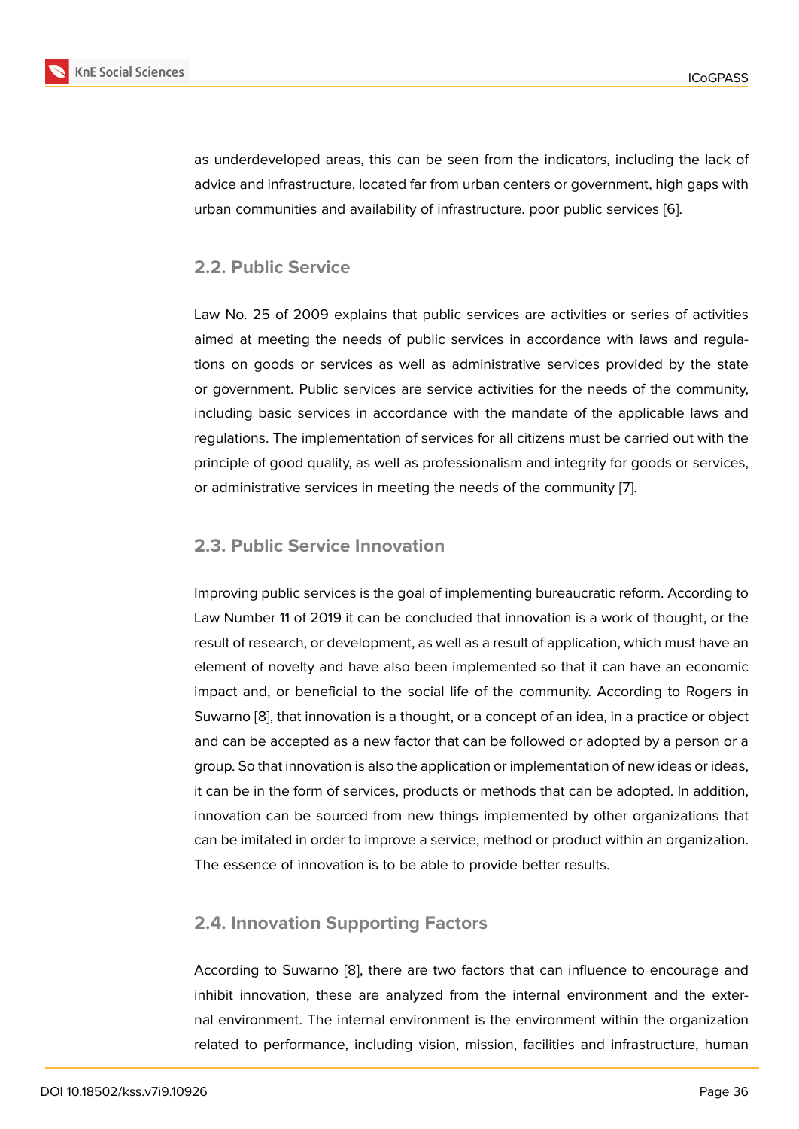as underdeveloped areas, this can be seen from the indicators, including the lack of advice and infrastructure, located far from urban centers or government, high gaps with urban communities and availability of infrastructure. poor public services [6].

### **2.2. Public Service**

Law No. 25 of 2009 explains that public services are activities or series of activities aimed at meeting the needs of public services in accordance with laws and regulations on goods or services as well as administrative services provided by the state or government. Public services are service activities for the needs of the community, including basic services in accordance with the mandate of the applicable laws and regulations. The implementation of services for all citizens must be carried out with the principle of good quality, as well as professionalism and integrity for goods or services, or administrative services in meeting the needs of the community [7].

### **2.3. Public Service Innovation**

Improving public services is the goal of implementing bureaucratic reform. According to Law Number 11 of 2019 it can be concluded that innovation is a work of thought, or the result of research, or development, as well as a result of application, which must have an element of novelty and have also been implemented so that it can have an economic impact and, or beneficial to the social life of the community. According to Rogers in Suwarno [8], that innovation is a thought, or a concept of an idea, in a practice or object and can be accepted as a new factor that can be followed or adopted by a person or a group. So that innovation is also the application or implementation of new ideas or ideas, it can be i[n](#page-14-5) the form of services, products or methods that can be adopted. In addition, innovation can be sourced from new things implemented by other organizations that can be imitated in order to improve a service, method or product within an organization. The essence of innovation is to be able to provide better results.

### **2.4. Innovation Supporting Factors**

According to Suwarno [8], there are two factors that can influence to encourage and inhibit innovation, these are analyzed from the internal environment and the external environment. The internal environment is the environment within the organization related to performance[, i](#page-14-5)ncluding vision, mission, facilities and infrastructure, human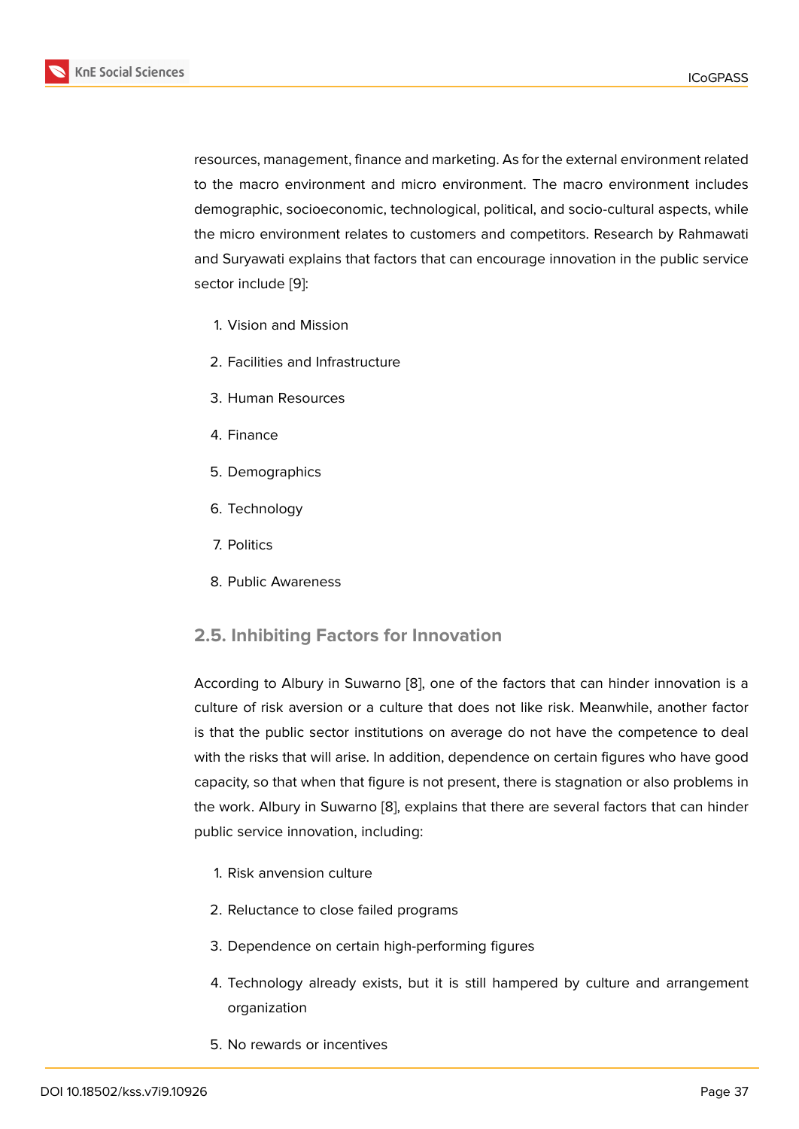resources, management, finance and marketing. As for the external environment related to the macro environment and micro environment. The macro environment includes demographic, socioeconomic, technological, political, and socio-cultural aspects, while the micro environment relates to customers and competitors. Research by Rahmawati and Suryawati explains that factors that can encourage innovation in the public service sector include [9]:

- 1. Vision and Mission
- 2. Facilities [an](#page-14-6)d Infrastructure
- 3. Human Resources
- 4. Finance
- 5. Demographics
- 6. Technology
- 7. Politics
- 8. Public Awareness

### **2.5. Inhibiting Factors for Innovation**

According to Albury in Suwarno [8], one of the factors that can hinder innovation is a culture of risk aversion or a culture that does not like risk. Meanwhile, another factor is that the public sector institutions on average do not have the competence to deal with the risks that will arise. In ad[dit](#page-14-5)ion, dependence on certain figures who have good capacity, so that when that figure is not present, there is stagnation or also problems in the work. Albury in Suwarno [8], explains that there are several factors that can hinder public service innovation, including:

- 1. Risk anvension culture
- 2. Reluctance to close failed programs
- 3. Dependence on certain high-performing figures
- 4. Technology already exists, but it is still hampered by culture and arrangement organization
- 5. No rewards or incentives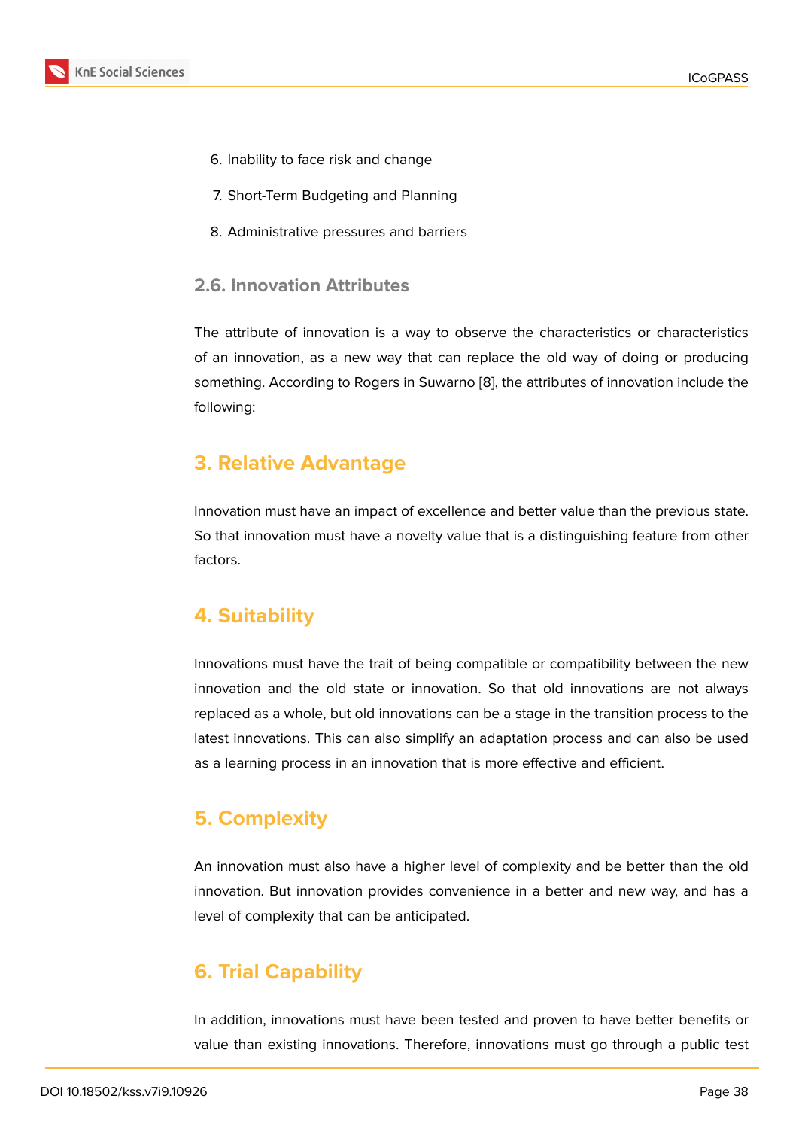- 6. Inability to face risk and change
- 7. Short-Term Budgeting and Planning
- 8. Administrative pressures and barriers

#### **2.6. Innovation Attributes**

The attribute of innovation is a way to observe the characteristics or characteristics of an innovation, as a new way that can replace the old way of doing or producing something. According to Rogers in Suwarno [8], the attributes of innovation include the following:

### **3. Relative Advantage**

Innovation must have an impact of excellence and better value than the previous state. So that innovation must have a novelty value that is a distinguishing feature from other factors.

### **4. Suitability**

Innovations must have the trait of being compatible or compatibility between the new innovation and the old state or innovation. So that old innovations are not always replaced as a whole, but old innovations can be a stage in the transition process to the latest innovations. This can also simplify an adaptation process and can also be used as a learning process in an innovation that is more effective and efficient.

## **5. Complexity**

An innovation must also have a higher level of complexity and be better than the old innovation. But innovation provides convenience in a better and new way, and has a level of complexity that can be anticipated.

## **6. Trial Capability**

In addition, innovations must have been tested and proven to have better benefits or value than existing innovations. Therefore, innovations must go through a public test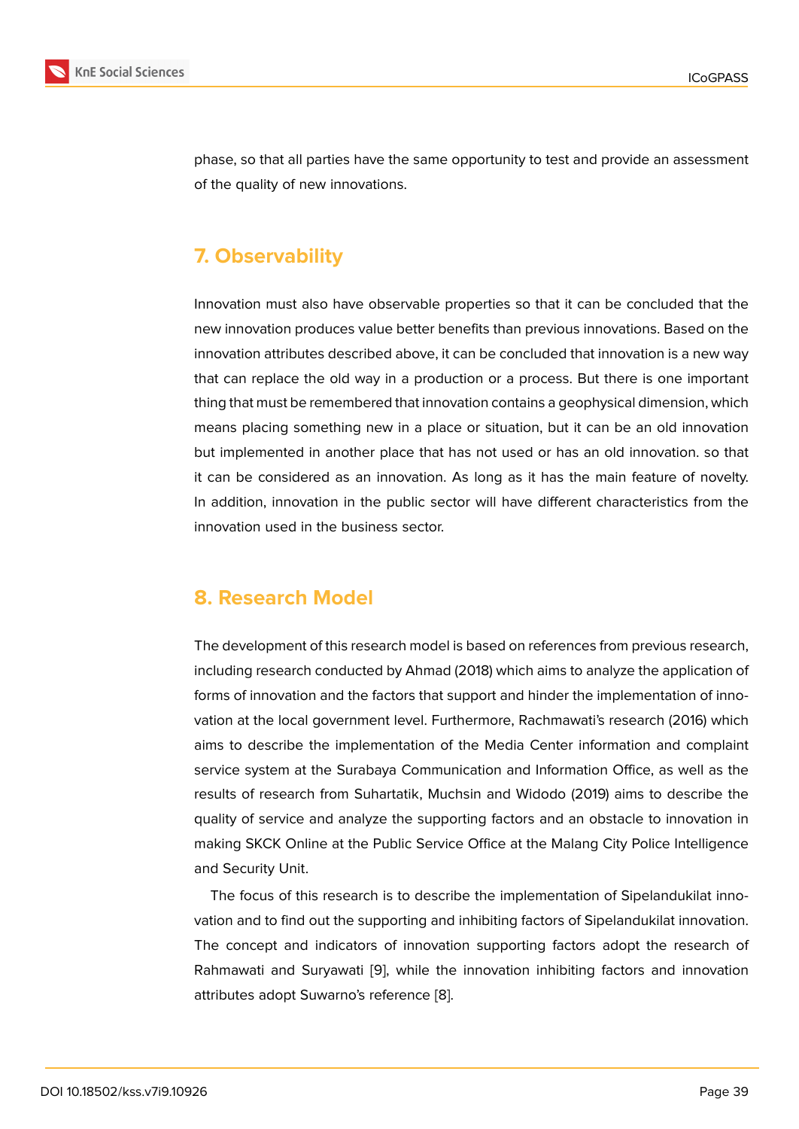phase, so that all parties have the same opportunity to test and provide an assessment of the quality of new innovations.

## **7. Observability**

Innovation must also have observable properties so that it can be concluded that the new innovation produces value better benefits than previous innovations. Based on the innovation attributes described above, it can be concluded that innovation is a new way that can replace the old way in a production or a process. But there is one important thing that must be remembered that innovation contains a geophysical dimension, which means placing something new in a place or situation, but it can be an old innovation but implemented in another place that has not used or has an old innovation. so that it can be considered as an innovation. As long as it has the main feature of novelty. In addition, innovation in the public sector will have different characteristics from the innovation used in the business sector.

### **8. Research Model**

The development of this research model is based on references from previous research, including research conducted by Ahmad (2018) which aims to analyze the application of forms of innovation and the factors that support and hinder the implementation of innovation at the local government level. Furthermore, Rachmawati's research (2016) which aims to describe the implementation of the Media Center information and complaint service system at the Surabaya Communication and Information Office, as well as the results of research from Suhartatik, Muchsin and Widodo (2019) aims to describe the quality of service and analyze the supporting factors and an obstacle to innovation in making SKCK Online at the Public Service Office at the Malang City Police Intelligence and Security Unit.

The focus of this research is to describe the implementation of Sipelandukilat innovation and to find out the supporting and inhibiting factors of Sipelandukilat innovation. The concept and indicators of innovation supporting factors adopt the research of Rahmawati and Suryawati [9], while the innovation inhibiting factors and innovation attributes adopt Suwarno's reference [8].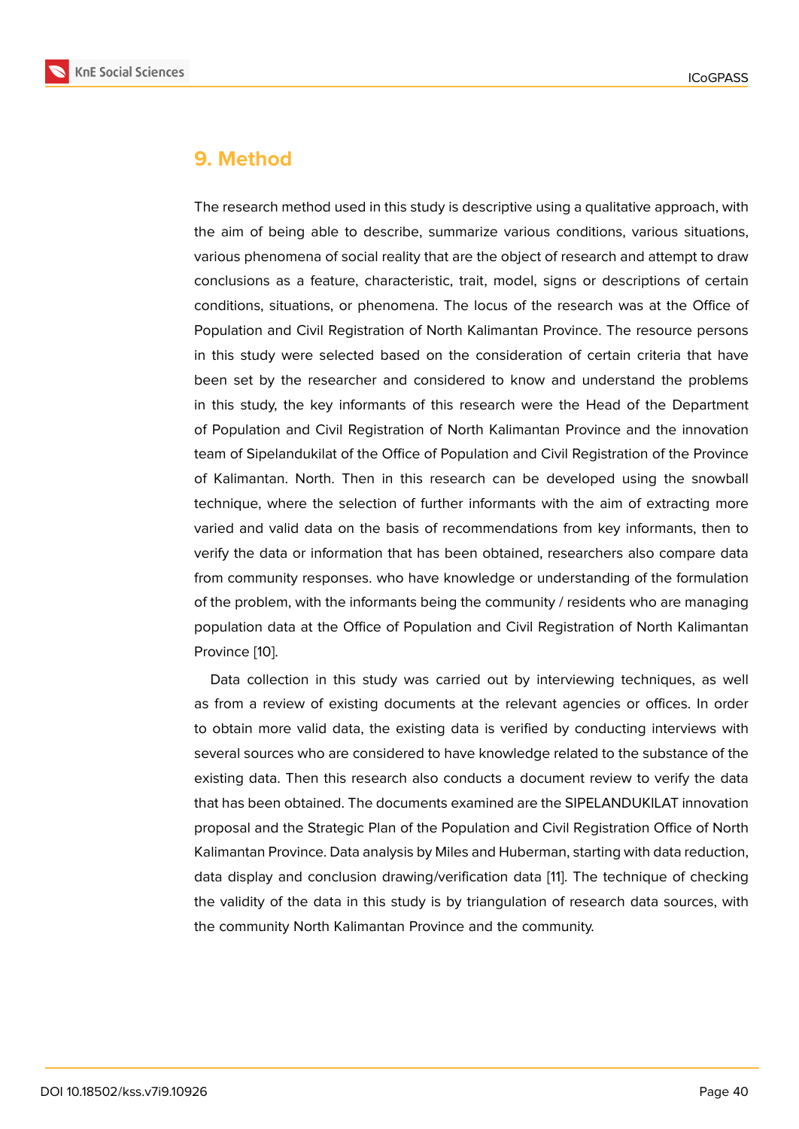### **9. Method**

The research method used in this study is descriptive using a qualitative approach, with the aim of being able to describe, summarize various conditions, various situations, various phenomena of social reality that are the object of research and attempt to draw conclusions as a feature, characteristic, trait, model, signs or descriptions of certain conditions, situations, or phenomena. The locus of the research was at the Office of Population and Civil Registration of North Kalimantan Province. The resource persons in this study were selected based on the consideration of certain criteria that have been set by the researcher and considered to know and understand the problems in this study, the key informants of this research were the Head of the Department of Population and Civil Registration of North Kalimantan Province and the innovation team of Sipelandukilat of the Office of Population and Civil Registration of the Province of Kalimantan. North. Then in this research can be developed using the snowball technique, where the selection of further informants with the aim of extracting more varied and valid data on the basis of recommendations from key informants, then to verify the data or information that has been obtained, researchers also compare data from community responses. who have knowledge or understanding of the formulation of the problem, with the informants being the community / residents who are managing population data at the Office of Population and Civil Registration of North Kalimantan Province [10].

Data collection in this study was carried out by interviewing techniques, as well as from a review of existing documents at the relevant agencies or offices. In order to obtain [mo](#page-14-7)re valid data, the existing data is verified by conducting interviews with several sources who are considered to have knowledge related to the substance of the existing data. Then this research also conducts a document review to verify the data that has been obtained. The documents examined are the SIPELANDUKILAT innovation proposal and the Strategic Plan of the Population and Civil Registration Office of North Kalimantan Province. Data analysis by Miles and Huberman, starting with data reduction, data display and conclusion drawing/verification data [11]. The technique of checking the validity of the data in this study is by triangulation of research data sources, with the community North Kalimantan Province and the community.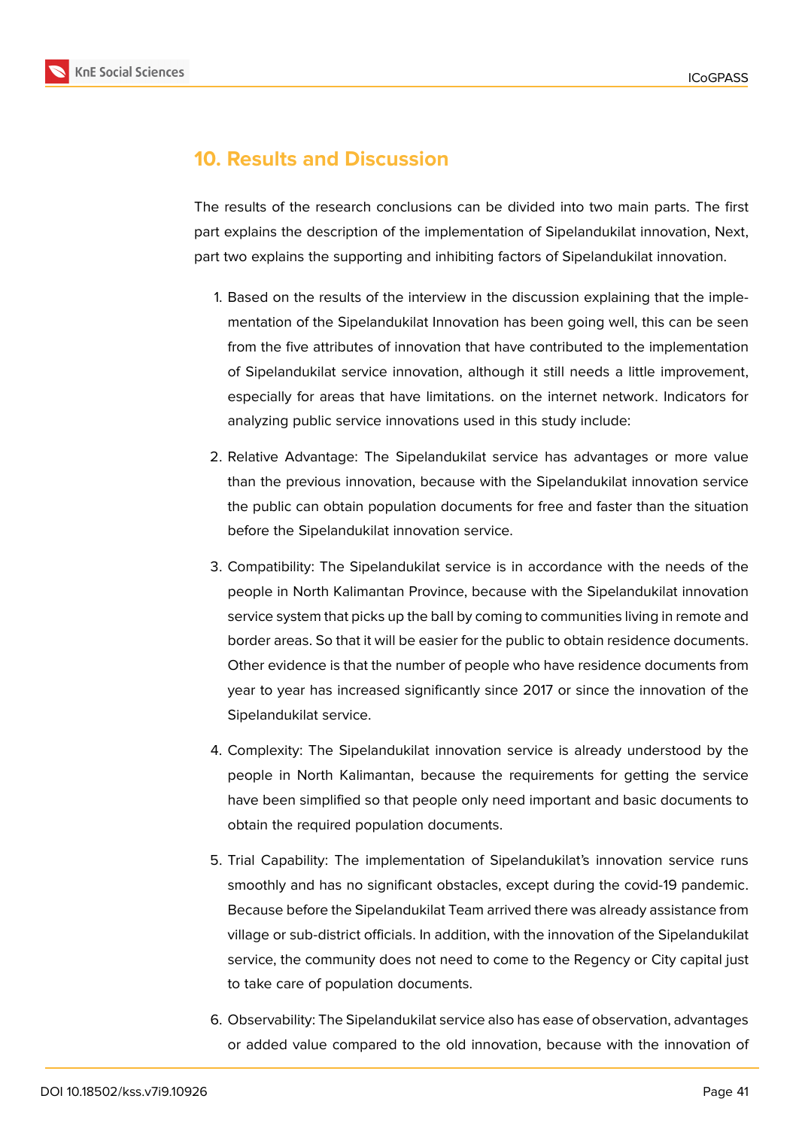

## **10. Results and Discussion**

The results of the research conclusions can be divided into two main parts. The first part explains the description of the implementation of Sipelandukilat innovation, Next, part two explains the supporting and inhibiting factors of Sipelandukilat innovation.

- 1. Based on the results of the interview in the discussion explaining that the implementation of the Sipelandukilat Innovation has been going well, this can be seen from the five attributes of innovation that have contributed to the implementation of Sipelandukilat service innovation, although it still needs a little improvement, especially for areas that have limitations. on the internet network. Indicators for analyzing public service innovations used in this study include:
- 2. Relative Advantage: The Sipelandukilat service has advantages or more value than the previous innovation, because with the Sipelandukilat innovation service the public can obtain population documents for free and faster than the situation before the Sipelandukilat innovation service.
- 3. Compatibility: The Sipelandukilat service is in accordance with the needs of the people in North Kalimantan Province, because with the Sipelandukilat innovation service system that picks up the ball by coming to communities living in remote and border areas. So that it will be easier for the public to obtain residence documents. Other evidence is that the number of people who have residence documents from year to year has increased significantly since 2017 or since the innovation of the Sipelandukilat service.
- 4. Complexity: The Sipelandukilat innovation service is already understood by the people in North Kalimantan, because the requirements for getting the service have been simplified so that people only need important and basic documents to obtain the required population documents.
- 5. Trial Capability: The implementation of Sipelandukilat's innovation service runs smoothly and has no significant obstacles, except during the covid-19 pandemic. Because before the Sipelandukilat Team arrived there was already assistance from village or sub-district officials. In addition, with the innovation of the Sipelandukilat service, the community does not need to come to the Regency or City capital just to take care of population documents.
- 6. Observability: The Sipelandukilat service also has ease of observation, advantages or added value compared to the old innovation, because with the innovation of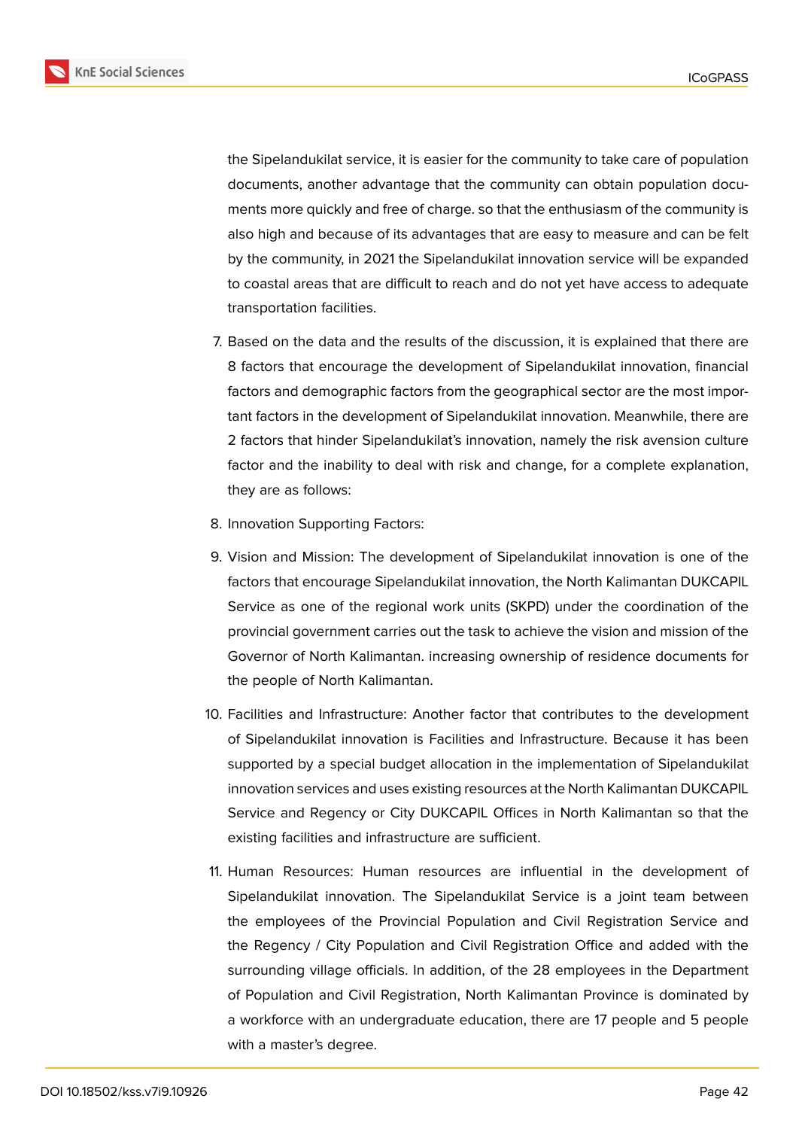**KnE Social Sciences** 



the Sipelandukilat service, it is easier for the community to take care of population documents, another advantage that the community can obtain population documents more quickly and free of charge. so that the enthusiasm of the community is also high and because of its advantages that are easy to measure and can be felt by the community, in 2021 the Sipelandukilat innovation service will be expanded to coastal areas that are difficult to reach and do not yet have access to adequate transportation facilities.

- 7. Based on the data and the results of the discussion, it is explained that there are 8 factors that encourage the development of Sipelandukilat innovation, financial factors and demographic factors from the geographical sector are the most important factors in the development of Sipelandukilat innovation. Meanwhile, there are 2 factors that hinder Sipelandukilat's innovation, namely the risk avension culture factor and the inability to deal with risk and change, for a complete explanation, they are as follows:
- 8. Innovation Supporting Factors:
- 9. Vision and Mission: The development of Sipelandukilat innovation is one of the factors that encourage Sipelandukilat innovation, the North Kalimantan DUKCAPIL Service as one of the regional work units (SKPD) under the coordination of the provincial government carries out the task to achieve the vision and mission of the Governor of North Kalimantan. increasing ownership of residence documents for the people of North Kalimantan.
- 10. Facilities and Infrastructure: Another factor that contributes to the development of Sipelandukilat innovation is Facilities and Infrastructure. Because it has been supported by a special budget allocation in the implementation of Sipelandukilat innovation services and uses existing resources at the North Kalimantan DUKCAPIL Service and Regency or City DUKCAPIL Offices in North Kalimantan so that the existing facilities and infrastructure are sufficient.
- 11. Human Resources: Human resources are influential in the development of Sipelandukilat innovation. The Sipelandukilat Service is a joint team between the employees of the Provincial Population and Civil Registration Service and the Regency / City Population and Civil Registration Office and added with the surrounding village officials. In addition, of the 28 employees in the Department of Population and Civil Registration, North Kalimantan Province is dominated by a workforce with an undergraduate education, there are 17 people and 5 people with a master's degree.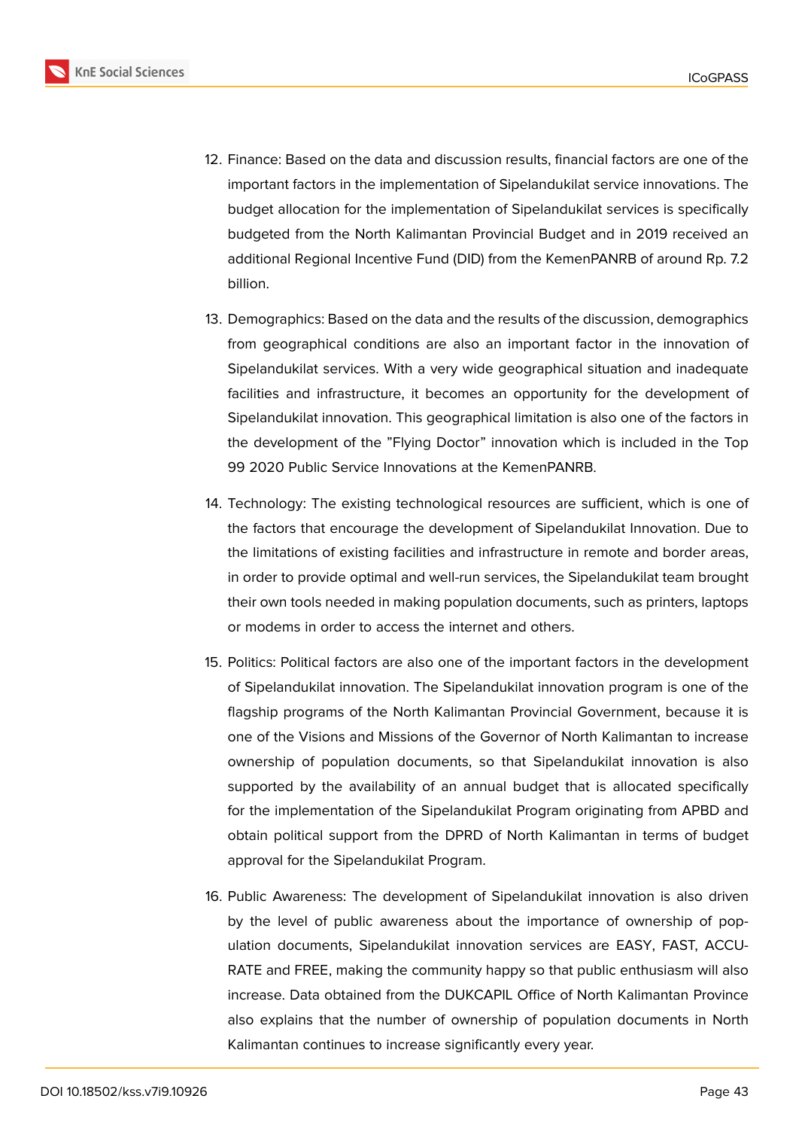

- 12. Finance: Based on the data and discussion results, financial factors are one of the important factors in the implementation of Sipelandukilat service innovations. The budget allocation for the implementation of Sipelandukilat services is specifically budgeted from the North Kalimantan Provincial Budget and in 2019 received an additional Regional Incentive Fund (DID) from the KemenPANRB of around Rp. 7.2 billion.
- 13. Demographics: Based on the data and the results of the discussion, demographics from geographical conditions are also an important factor in the innovation of Sipelandukilat services. With a very wide geographical situation and inadequate facilities and infrastructure, it becomes an opportunity for the development of Sipelandukilat innovation. This geographical limitation is also one of the factors in the development of the "Flying Doctor" innovation which is included in the Top 99 2020 Public Service Innovations at the KemenPANRB.
- 14. Technology: The existing technological resources are sufficient, which is one of the factors that encourage the development of Sipelandukilat Innovation. Due to the limitations of existing facilities and infrastructure in remote and border areas, in order to provide optimal and well-run services, the Sipelandukilat team brought their own tools needed in making population documents, such as printers, laptops or modems in order to access the internet and others.
- 15. Politics: Political factors are also one of the important factors in the development of Sipelandukilat innovation. The Sipelandukilat innovation program is one of the flagship programs of the North Kalimantan Provincial Government, because it is one of the Visions and Missions of the Governor of North Kalimantan to increase ownership of population documents, so that Sipelandukilat innovation is also supported by the availability of an annual budget that is allocated specifically for the implementation of the Sipelandukilat Program originating from APBD and obtain political support from the DPRD of North Kalimantan in terms of budget approval for the Sipelandukilat Program.
- 16. Public Awareness: The development of Sipelandukilat innovation is also driven by the level of public awareness about the importance of ownership of population documents, Sipelandukilat innovation services are EASY, FAST, ACCU-RATE and FREE, making the community happy so that public enthusiasm will also increase. Data obtained from the DUKCAPIL Office of North Kalimantan Province also explains that the number of ownership of population documents in North Kalimantan continues to increase significantly every year.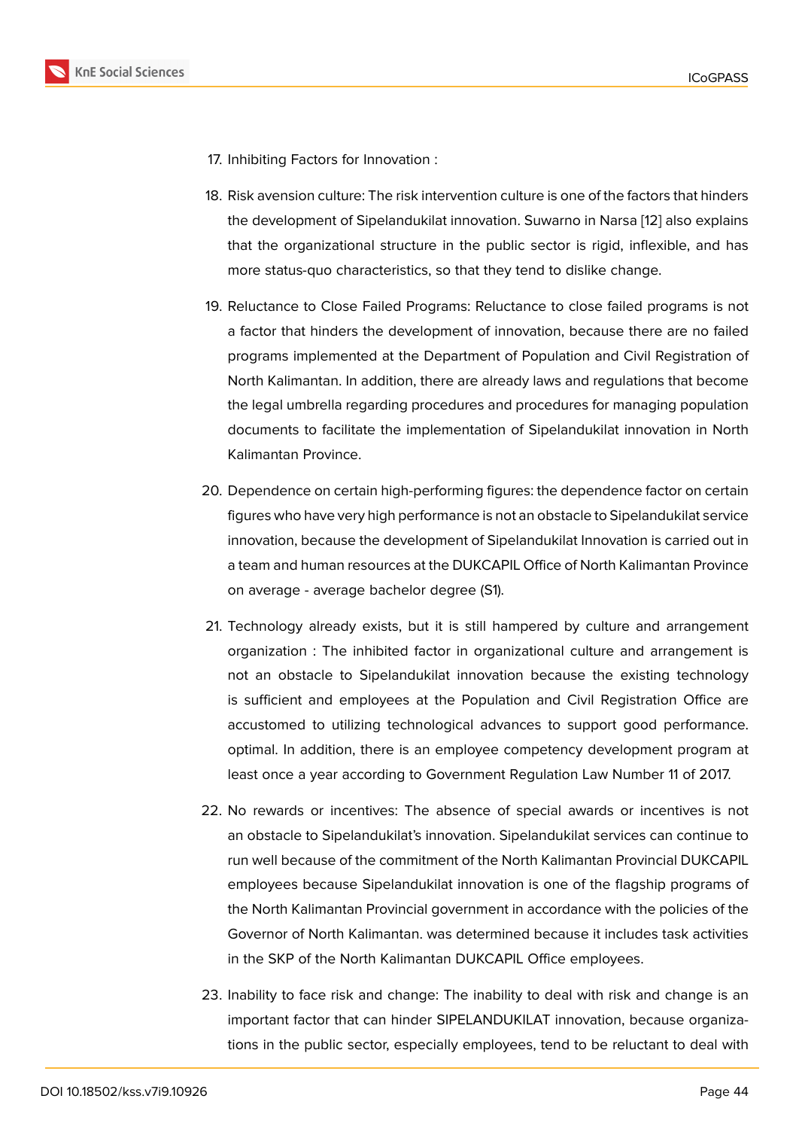- 17. Inhibiting Factors for Innovation :
- 18. Risk avension culture: The risk intervention culture is one of the factors that hinders the development of Sipelandukilat innovation. Suwarno in Narsa [12] also explains that the organizational structure in the public sector is rigid, inflexible, and has more status-quo characteristics, so that they tend to dislike change.
- 19. Reluctance to Close Failed Programs: Reluctance to close failed programs is not a factor that hinders the development of innovation, because there are no failed programs implemented at the Department of Population and Civil Registration of North Kalimantan. In addition, there are already laws and regulations that become the legal umbrella regarding procedures and procedures for managing population documents to facilitate the implementation of Sipelandukilat innovation in North Kalimantan Province.
- 20. Dependence on certain high-performing figures: the dependence factor on certain figures who have very high performance is not an obstacle to Sipelandukilat service innovation, because the development of Sipelandukilat Innovation is carried out in a team and human resources at the DUKCAPIL Office of North Kalimantan Province on average - average bachelor degree (S1).
- 21. Technology already exists, but it is still hampered by culture and arrangement organization : The inhibited factor in organizational culture and arrangement is not an obstacle to Sipelandukilat innovation because the existing technology is sufficient and employees at the Population and Civil Registration Office are accustomed to utilizing technological advances to support good performance. optimal. In addition, there is an employee competency development program at least once a year according to Government Regulation Law Number 11 of 2017.
- 22. No rewards or incentives: The absence of special awards or incentives is not an obstacle to Sipelandukilat's innovation. Sipelandukilat services can continue to run well because of the commitment of the North Kalimantan Provincial DUKCAPIL employees because Sipelandukilat innovation is one of the flagship programs of the North Kalimantan Provincial government in accordance with the policies of the Governor of North Kalimantan. was determined because it includes task activities in the SKP of the North Kalimantan DUKCAPIL Office employees.
- 23. Inability to face risk and change: The inability to deal with risk and change is an important factor that can hinder SIPELANDUKILAT innovation, because organizations in the public sector, especially employees, tend to be reluctant to deal with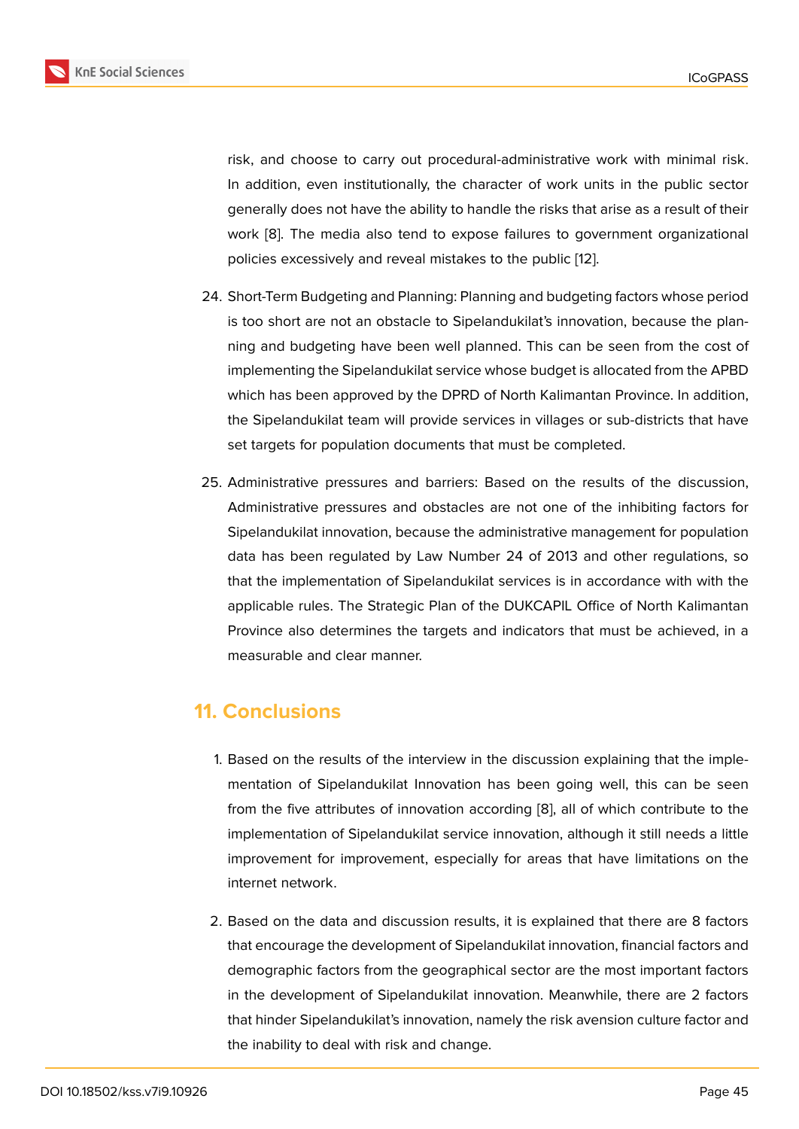risk, and choose to carry out procedural-administrative work with minimal risk. In addition, even institutionally, the character of work units in the public sector generally does not have the ability to handle the risks that arise as a result of their work [8]. The media also tend to expose failures to government organizational policies excessively and reveal mistakes to the public [12].

- 24. Short-[Te](#page-14-5)rm Budgeting and Planning: Planning and budgeting factors whose period is too short are not an obstacle to Sipelandukilat's inn[ova](#page-14-8)tion, because the planning and budgeting have been well planned. This can be seen from the cost of implementing the Sipelandukilat service whose budget is allocated from the APBD which has been approved by the DPRD of North Kalimantan Province. In addition, the Sipelandukilat team will provide services in villages or sub-districts that have set targets for population documents that must be completed.
- 25. Administrative pressures and barriers: Based on the results of the discussion, Administrative pressures and obstacles are not one of the inhibiting factors for Sipelandukilat innovation, because the administrative management for population data has been regulated by Law Number 24 of 2013 and other regulations, so that the implementation of Sipelandukilat services is in accordance with with the applicable rules. The Strategic Plan of the DUKCAPIL Office of North Kalimantan Province also determines the targets and indicators that must be achieved, in a measurable and clear manner.

### **11. Conclusions**

- 1. Based on the results of the interview in the discussion explaining that the implementation of Sipelandukilat Innovation has been going well, this can be seen from the five attributes of innovation according [8], all of which contribute to the implementation of Sipelandukilat service innovation, although it still needs a little improvement for improvement, especially for areas that have limitations on the internet network.
- 2. Based on the data and discussion results, it is explained that there are 8 factors that encourage the development of Sipelandukilat innovation, financial factors and demographic factors from the geographical sector are the most important factors in the development of Sipelandukilat innovation. Meanwhile, there are 2 factors that hinder Sipelandukilat's innovation, namely the risk avension culture factor and the inability to deal with risk and change.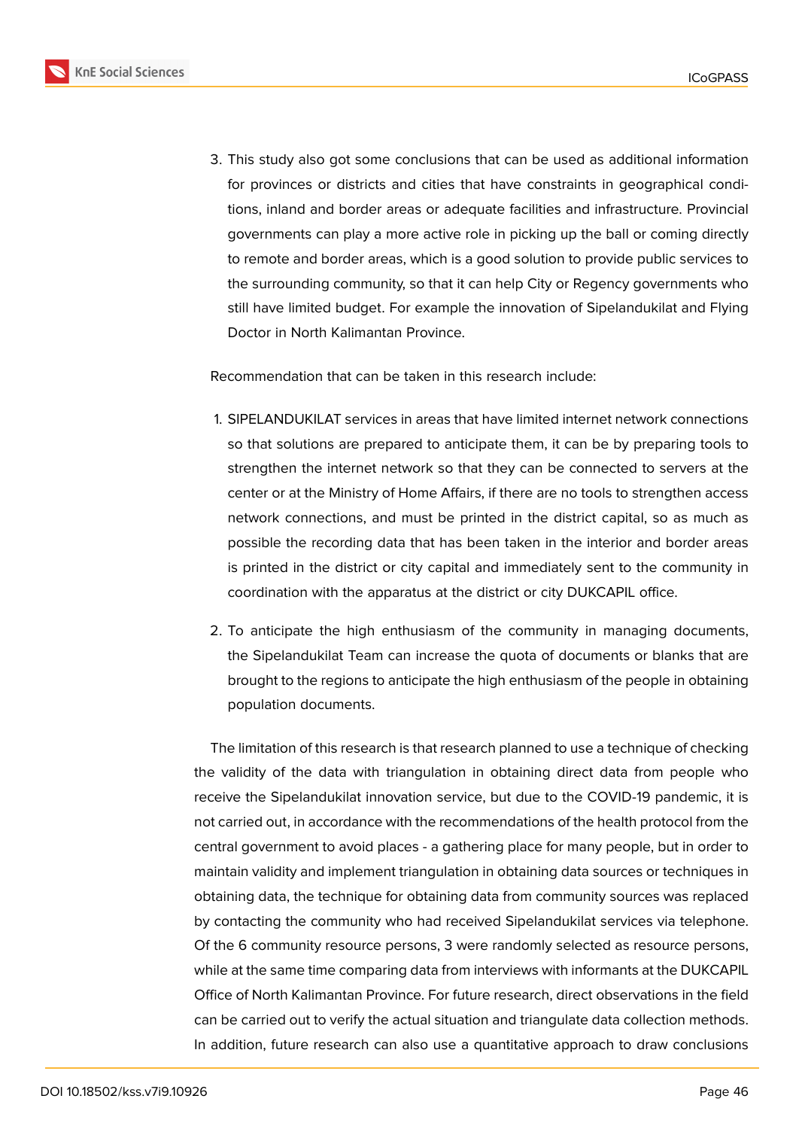

3. This study also got some conclusions that can be used as additional information for provinces or districts and cities that have constraints in geographical conditions, inland and border areas or adequate facilities and infrastructure. Provincial governments can play a more active role in picking up the ball or coming directly to remote and border areas, which is a good solution to provide public services to the surrounding community, so that it can help City or Regency governments who still have limited budget. For example the innovation of Sipelandukilat and Flying Doctor in North Kalimantan Province.

Recommendation that can be taken in this research include:

- 1. SIPELANDUKILAT services in areas that have limited internet network connections so that solutions are prepared to anticipate them, it can be by preparing tools to strengthen the internet network so that they can be connected to servers at the center or at the Ministry of Home Affairs, if there are no tools to strengthen access network connections, and must be printed in the district capital, so as much as possible the recording data that has been taken in the interior and border areas is printed in the district or city capital and immediately sent to the community in coordination with the apparatus at the district or city DUKCAPIL office.
- 2. To anticipate the high enthusiasm of the community in managing documents, the Sipelandukilat Team can increase the quota of documents or blanks that are brought to the regions to anticipate the high enthusiasm of the people in obtaining population documents.

The limitation of this research is that research planned to use a technique of checking the validity of the data with triangulation in obtaining direct data from people who receive the Sipelandukilat innovation service, but due to the COVID-19 pandemic, it is not carried out, in accordance with the recommendations of the health protocol from the central government to avoid places - a gathering place for many people, but in order to maintain validity and implement triangulation in obtaining data sources or techniques in obtaining data, the technique for obtaining data from community sources was replaced by contacting the community who had received Sipelandukilat services via telephone. Of the 6 community resource persons, 3 were randomly selected as resource persons, while at the same time comparing data from interviews with informants at the DUKCAPIL Office of North Kalimantan Province. For future research, direct observations in the field can be carried out to verify the actual situation and triangulate data collection methods. In addition, future research can also use a quantitative approach to draw conclusions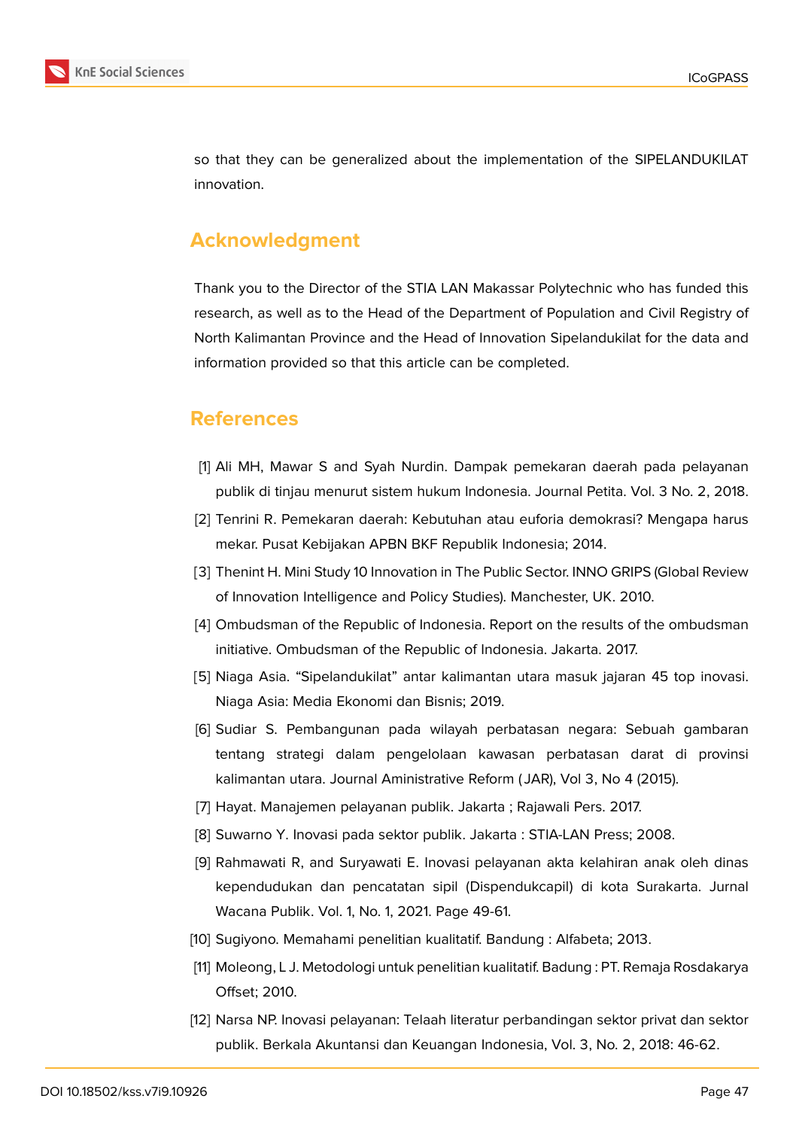

so that they can be generalized about the implementation of the SIPELANDUKILAT innovation.

### **Acknowledgment**

Thank you to the Director of the STIA LAN Makassar Polytechnic who has funded this research, as well as to the Head of the Department of Population and Civil Registry of North Kalimantan Province and the Head of Innovation Sipelandukilat for the data and information provided so that this article can be completed.

### **References**

- <span id="page-14-0"></span>[1] Ali MH, Mawar S and Syah Nurdin. Dampak pemekaran daerah pada pelayanan publik di tinjau menurut sistem hukum Indonesia. Journal Petita. Vol. 3 No. 2, 2018.
- <span id="page-14-1"></span>[2] Tenrini R. Pemekaran daerah: Kebutuhan atau euforia demokrasi? Mengapa harus mekar. Pusat Kebijakan APBN BKF Republik Indonesia; 2014.
- <span id="page-14-2"></span>[3] Thenint H. Mini Study 10 Innovation in The Public Sector. INNO GRIPS (Global Review of Innovation Intelligence and Policy Studies). Manchester, UK. 2010.
- <span id="page-14-3"></span>[4] Ombudsman of the Republic of Indonesia. Report on the results of the ombudsman initiative. Ombudsman of the Republic of Indonesia. Jakarta. 2017.
- <span id="page-14-4"></span>[5] Niaga Asia. "Sipelandukilat" antar kalimantan utara masuk jajaran 45 top inovasi. Niaga Asia: Media Ekonomi dan Bisnis; 2019.
- [6] Sudiar S. Pembangunan pada wilayah perbatasan negara: Sebuah gambaran tentang strategi dalam pengelolaan kawasan perbatasan darat di provinsi kalimantan utara. Journal Aministrative Reform ( JAR), Vol 3, No 4 (2015).
- [7] Hayat. Manajemen pelayanan publik. Jakarta ; Rajawali Pers. 2017.
- <span id="page-14-5"></span>[8] Suwarno Y. Inovasi pada sektor publik. Jakarta : STIA-LAN Press; 2008.
- <span id="page-14-6"></span>[9] Rahmawati R, and Suryawati E. Inovasi pelayanan akta kelahiran anak oleh dinas kependudukan dan pencatatan sipil (Dispendukcapil) di kota Surakarta. Jurnal Wacana Publik. Vol. 1, No. 1, 2021. Page 49-61.
- <span id="page-14-7"></span>[10] Sugiyono. Memahami penelitian kualitatif. Bandung : Alfabeta; 2013.
- [11] Moleong, L J. Metodologi untuk penelitian kualitatif. Badung : PT. Remaja Rosdakarya Offset; 2010.
- <span id="page-14-8"></span>[12] Narsa NP. Inovasi pelayanan: Telaah literatur perbandingan sektor privat dan sektor publik. Berkala Akuntansi dan Keuangan Indonesia, Vol. 3, No. 2, 2018: 46-62.